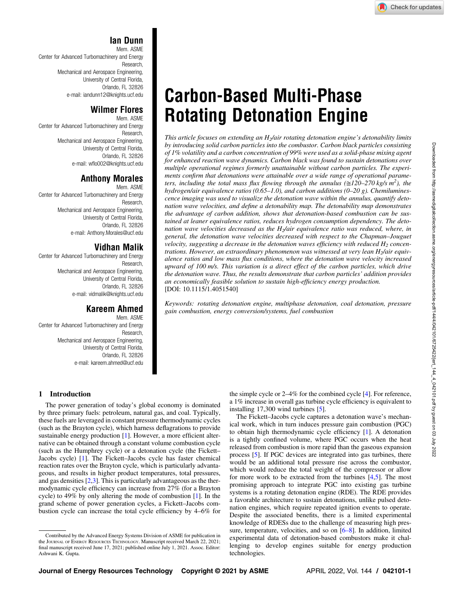# Ian Dunn

Mem. ASME Center for Advanced Turbomachinery and Energy Research, Mechanical and Aerospace Engineering, University of Central Florida, Orlando, FL 32826 e-mail: [iandunn12@knights.ucf.edu](mailto:iandunn12@knights.ucf.edu)

## Wilmer Flores

Mem. ASME Center for Advanced Turbomachinery and Energy Research, Mechanical and Aerospace Engineering, University of Central Florida, Orlando, FL 32826 e-mail: wfl[o002@knights.ucf.edu](mailto:wflo002@knights.ucf.edu)

# Anthony Morales

Mem. ASME Center for Advanced Turbomachinery and Energy Research, Mechanical and Aerospace Engineering, University of Central Florida, Orlando, FL 32826 e-mail: [Anthony.Morales@ucf.edu](mailto:Anthony.Morales@ucf.edu)

# Vidhan Malik

Center for Advanced Turbomachinery and Energy Research, Mechanical and Aerospace Engineering, University of Central Florida, Orlando, FL 32826 e-mail: [vidmalik@knights.ucf.edu](mailto:vidmalik@knights.ucf.edu)

## Kareem Ahmed

Mem. ASME Center for Advanced Turbomachinery and Energy Research, Mechanical and Aerospace Engineering, University of Central Florida, Orlando, FL 32826 e-mail: [kareem.ahmed@ucf.edu](mailto:kareem.ahmed@ucf.edu)

# 1 Introduction

The power generation of today's global economy is dominated by three primary fuels: petroleum, natural gas, and coal. Typically, these fuels are leveraged in constant pressure thermodynamic cycles (such as the Brayton cycle), which harness deflagrations to provide sustainable energy production [[1](#page-5-0)]. However, a more efficient alternative can be obtained through a constant volume combustion cycle (such as the Humphrey cycle) or a detonation cycle (the Fickett– Jacobs cycle) [[1](#page-5-0)]. The Fickett–Jacobs cycle has faster chemical reaction rates over the Brayton cycle, which is particularly advantageous, and results in higher product temperatures, total pressures, and gas densities  $[2,3]$ . This is particularly advantageous as the thermodynamic cycle efficiency can increase from 27% (for a Brayton cycle) to 49% by only altering the mode of combustion [[1](#page-5-0)]. In the grand scheme of power generation cycles, a Fickett–Jacobs combustion cycle can increase the total cycle efficiency by 4–6% for

# Carbon-Based Multi-Phase Rotating Detonation Engine

This article focuses on extending an  $H_2$ /air rotating detonation engine's detonability limits by introducing solid carbon particles into the combustor. Carbon black particles consisting of 1% volatility and a carbon concentration of 99% were used as a solid-phase mixing agent for enhanced reaction wave dynamics. Carbon black was found to sustain detonations over multiple operational regimes formerly unattainable without carbon particles. The experiments confirm that detonations were attainable over a wide range of operational parameters, including the total mass flux flowing through the annulus  $(\approx] 20-270$  kg/s m<sup>2</sup>), the hydrogen/air equivalence ratios (0.65–1.0), and carbon additions (0–20 g). Chemiluminescence imaging was used to visualize the detonation wave within the annulus, quantify detonation wave velocities, and define a detonability map. The detonability map demonstrates the advantage of carbon addition, shows that detonation-based combustion can be sustained at leaner equivalence ratios, reduces hydrogen consumption dependency. The detonation wave velocities decreased as the  $H_2$ /air equivalence ratio was reduced, where, in general, the detonation wave velocities decreased with respect to the Chapman–Jouguet velocity, suggesting a decrease in the detonation waves efficiency with reduced  $H<sub>2</sub>$  concentrations. However, an extraordinary phenomenon was witnessed at very lean  $H<sub>2</sub>$ /air equivalence ratios and low mass flux conditions, where the detonation wave velocity increased upward of 100 m/s. This variation is a direct effect of the carbon particles, which drive the detonation wave. Thus, the results demonstrate that carbon particles' addition provides an economically feasible solution to sustain high-efficiency energy production. [DOI: 10.1115/1.4051540]

Keywords: rotating detonation engine, multiphase detonation, coal detonation, pressure gain combustion, energy conversion/systems, fuel combustion

the simple cycle or 2–4% for the combined cycle [[4](#page-5-0)]. For reference, a 1% increase in overall gas turbine cycle efficiency is equivalent to installing 17,300 wind turbines [\[5\]](#page-5-0).

The Fickett–Jacobs cycle captures a detonation wave's mechanical work, which in turn induces pressure gain combustion (PGC) to obtain high thermodynamic cycle efficiency [\[1\]](#page-5-0). A detonation is a tightly confined volume, where PGC occurs when the heat released from combustion is more rapid than the gaseous expansion process [[5](#page-5-0)]. If PGC devices are integrated into gas turbines, there would be an additional total pressure rise across the combustor, which would reduce the total weight of the compressor or allow for more work to be extracted from the turbines  $[4,5]$  $[4,5]$ . The most promising approach to integrate PGC into existing gas turbine systems is a rotating detonation engine (RDE). The RDE provides a favorable architecture to sustain detonations, unlike pulsed detonation engines, which require repeated ignition events to operate. Despite the associated benefits, there is a limited experimental knowledge of RDESs due to the challenge of measuring high pressure, temperature, velocities, and so on [6–8]. In addition, limited experimental data of detonation-based combustors make it challenging to develop engines suitable for energy production technologies.

Contributed by the Advanced Energy Systems Division of ASME for publication in the JOURNAL OF ENERGY RESOURCES TECHNOLOGY. Manuscript received March 22, 2021; final manuscript received June 17, 2021; published online July 1, 2021. Assoc. Editor: Ashwani K. Gupta.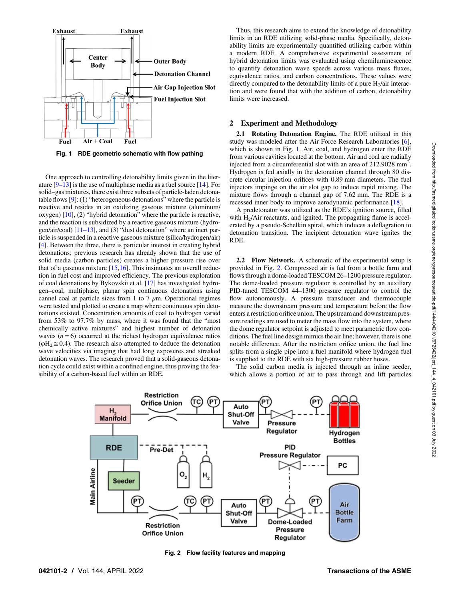

Fig. 1 RDE geometric schematic with flow pathing

One approach to controlling detonability limits given in the literature  $[9-13]$  is the use of multiphase media as a fuel source [[14\]](#page-5-0). For solid–gas mixtures, there exist three subsets of particle-laden detonatable flows  $[9]$  $[9]$  $[9]$ : (1) "heterogeneous detonations" where the particle is reactive and resides in an oxidizing gaseous mixture (aluminum/ oxygen) [\[10](#page-5-0)], (2) "hybrid detonation" where the particle is reactive, and the reaction is subsidized by a reactive gaseous mixture (hydrogen/air/coal)  $[11-13]$ , and (3) "dust detonation" where an inert particle is suspended in a reactive gaseous mixture (silica/hydrogen/air) [[4](#page-5-0)]. Between the three, there is particular interest in creating hybrid detonations; previous research has already shown that the use of solid media (carbon particles) creates a higher pressure rise over that of a gaseous mixture [\[15](#page-5-0),[16\]](#page-5-0). This insinuates an overall reduction in fuel cost and improved efficiency. The previous exploration of coal detonations by Bykovskii et al. [[17\]](#page-5-0) has investigated hydrogen–coal, multiphase, planar spin continuous detonations using cannel coal at particle sizes from 1 to 7  $\mu$ m. Operational regimes were tested and plotted to create a map where continuous spin detonations existed. Concentration amounts of coal to hydrogen varied from 53% to 97.7% by mass, where it was found that the "most chemically active mixtures" and highest number of detonation waves  $(n=6)$  occurred at the richest hydrogen equivalence ratios  $(\phi H_2 \cong 0.4)$ . The research also attempted to deduce the detonation wave velocities via imaging that had long exposures and streaked detonation waves. The research proved that a solid-gaseous detonation cycle could exist within a confined engine, thus proving the feasibility of a carbon-based fuel within an RDE.

Thus, this research aims to extend the knowledge of detonability limits in an RDE utilizing solid-phase media. Specifically, detonability limits are experimentally quantified utilizing carbon within a modern RDE. A comprehensive experimental assessment of hybrid detonation limits was evaluated using chemiluminescence to quantify detonation wave speeds across various mass fluxes, equivalence ratios, and carbon concentrations. These values were directly compared to the detonability limits of a pure  $H_2$ /air interaction and were found that with the addition of carbon, detonability limits were increased.

#### 2 Experiment and Methodology

2.1 Rotating Detonation Engine. The RDE utilized in this study was modeled after the Air Force Research Laboratories [\[6\]](#page-5-0), which is shown in Fig. 1. Air, coal, and hydrogen enter the RDE from various cavities located at the bottom. Air and coal are radially injected from a circumferential slot with an area of 212.9028 mm<sup>2</sup>. Hydrogen is fed axially in the detonation channel through 80 discrete circular injection orifices with 0.89 mm diameters. The fuel injectors impinge on the air slot gap to induce rapid mixing. The mixture flows through a channel gap of 7.62 mm. The RDE is a recessed inner body to improve aerodynamic performance [[18\]](#page-5-0).

A predetonator was utilized as the RDE's ignition source, filled with  $H<sub>2</sub>/Air$  reactants, and ignited. The propagating flame is accelerated by a pseudo-Schelkin spiral, which induces a deflagration to detonation transition. The incipient detonation wave ignites the RDE.

2.2 Flow Network. A schematic of the experimental setup is provided in Fig. 2. Compressed air is fed from a bottle farm and flows through a dome-loaded TESCOM 26–1200 pressure regulator. The dome-loaded pressure regulator is controlled by an auxiliary PID-tuned TESCOM 44–1300 pressure regulator to control the flow autonomously. A pressure transducer and thermocouple measure the downstream pressure and temperature before the flow enters a restriction orifice union. The upstream and downstream pressure readings are used to meter the mass flow into the system, where the dome regulator setpoint is adjusted to meet parametric flow conditions. The fuel line design mimics the air line; however, there is one notable difference. After the restriction orifice union, the fuel line splits from a single pipe into a fuel manifold where hydrogen fuel is supplied to the RDE with six high-pressure rubber hoses.

The solid carbon media is injected through an inline seeder, which allows a portion of air to pass through and lift particles



Fig. 2 Flow facility features and mapping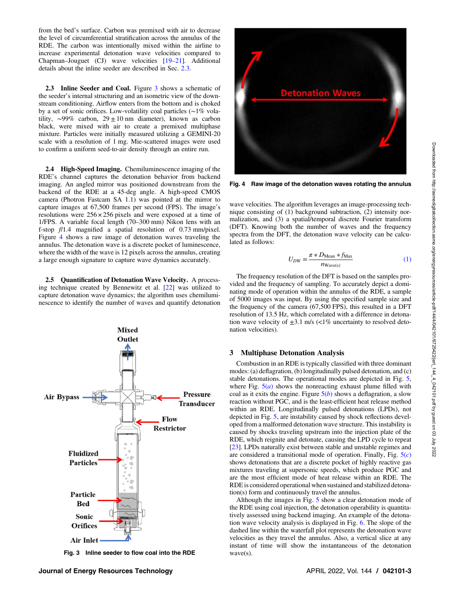from the bed's surface. Carbon was premixed with air to decrease the level of circumferential stratification across the annulus of the RDE. The carbon was intentionally mixed within the airline to increase experimental detonation wave velocities compared to Chapman–Jouguet (CJ) wave velocities [19–21]. Additional details about the inline seeder are described in Sec. 2.3.

2.3 Inline Seeder and Coal. Figure 3 shows a schematic of the seeder's internal structuring and an isometric view of the downstream conditioning. Airflow enters from the bottom and is choked by a set of sonic orifices. Low-volatility coal particles (∼1% volatility, ~99% carbon,  $29 \pm 10$  nm diameter), known as carbon black, were mixed with air to create a premixed multiphase mixture. Particles were initially measured utilizing a GEMINI-20 scale with a resolution of 1 mg. Mie-scattered images were used to confirm a uniform seed-to-air density through an entire run.

2.4 High-Speed Imaging. Chemiluminescence imaging of the RDE's channel captures the detonation behavior from backend imaging. An angled mirror was positioned downstream from the backend of the RDE at a 45-deg angle. A high-speed CMOS camera (Photron Fastcam SA 1.1) was pointed at the mirror to capture images at 67,500 frames per second (FPS). The image's resolutions were  $256 \times 256$  pixels and were exposed at a time of 1/FPS. A variable focal length (70–300 mm) Nikon lens with an f-stop f/1.4 magnified a spatial resolution of 0.73 mm/pixel. Figure 4 shows a raw image of detonation waves traveling the annulus. The detonation wave is a discrete pocket of luminescence, where the width of the wave is 12 pixels across the annulus, creating a large enough signature to capture wave dynamics accurately.

2.5 Quantification of Detonation Wave Velocity. A processing technique created by Bennewitz et al. [\[22\]](#page-5-0) was utilized to capture detonation wave dynamics; the algorithm uses chemiluminescence to identify the number of waves and quantify detonation



Fig. 3 Inline seeder to flow coal into the RDE wave(s).



Fig. 4 Raw image of the detonation waves rotating the annulus

wave velocities. The algorithm leverages an image-processing technique consisting of (1) background subtraction, (2) intensity normalization, and (3) a spatial/temporal discrete Fourier transform (DFT). Knowing both the number of waves and the frequency spectra from the DFT, the detonation wave velocity can be calculated as follows:

$$
U_{DW} = \frac{\pi * D_{\text{Mean}} * f_{\text{Max}}}{n_{\text{Wave(s)}}}
$$
(1)

The frequency resolution of the DFT is based on the samples provided and the frequency of sampling. To accurately depict a dominating mode of operation within the annulus of the RDE, a sample of 5000 images was input. By using the specified sample size and the frequency of the camera (67,500 FPS), this resulted in a DFT resolution of 13.5 Hz, which correlated with a difference in detonation wave velocity of  $\pm 3.1$  m/s (<1% uncertainty to resolved detonation velocities).

## 3 Multiphase Detonation Analysis

Combustion in an RDE is typically classified with three dominant modes: (a) deflagration, (b) longitudinally pulsed detonation, and (c) stable detonations. The operational modes are depicted in Fig. [5,](#page-3-0) where Fig.  $5(a)$  $5(a)$  shows the nonreacting exhaust plume filled with coal as it exits the engine. Figure  $5(b)$  $5(b)$  shows a deflagration, a slow reaction without PGC, and is the least-efficient heat release method within an RDE. Longitudinally pulsed detonations (LPDs), not depicted in Fig. [5](#page-3-0), are instability caused by shock reflections developed from a malformed detonation wave structure. This instability is caused by shocks traveling upstream into the injection plate of the RDE, which reignite and detonate, causing the LPD cycle to repeat [[23\]](#page-5-0). LPDs naturally exist between stable and unstable regimes and are considered a transitional mode of operation. Finally, Fig.  $5(c)$  $5(c)$ shows detonations that are a discrete pocket of highly reactive gas mixtures traveling at supersonic speeds, which produce PGC and are the most efficient mode of heat release within an RDE. The RDE is considered operational when sustained and stabilized detonation(s) form and continuously travel the annulus.

Although the images in Fig. [5](#page-3-0) show a clear detonation mode of the RDE using coal injection, the detonation operability is quantitatively assessed using backend imaging. An example of the detonation wave velocity analysis is displayed in Fig. [6](#page-3-0). The slope of the dashed line within the waterfall plot represents the detonation wave velocities as they travel the annulus. Also, a vertical slice at any instant of time will show the instantaneous of the detonation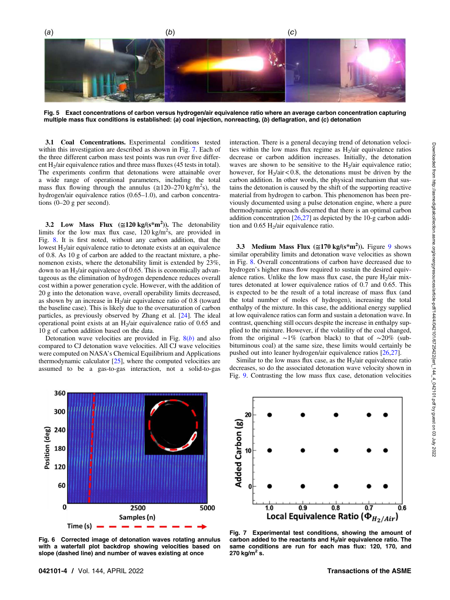<span id="page-3-0"></span>Fig. 5 Exact concentrations of carbon versus hydrogen/air equivalence ratio where an average carbon concentration capturing multiple mass flux conditions is established: (a) coal injection, nonreacting, (b) deflagration, and (c) detonation

3.1 Coal Concentrations. Experimental conditions tested within this investigation are described as shown in Fig. 7. Each of the three different carbon mass test points was run over five different  $H_2$ /air equivalence ratios and three mass fluxes (45 tests in total). The experiments confirm that detonations were attainable over a wide range of operational parameters, including the total mass flux flowing through the annulus ( $\approx$ 120–270 kg/m<sup>2</sup>s), the hydrogen/air equivalence ratios (0.65–1.0), and carbon concentrations (0–20 g per second).

3.2 Low Mass Flux  $(\approx 120 \text{ kg/(s*}m^2))$ . The detonability limits for the low max flux case,  $120 \text{ kg/m}^2$ s, are provided in Fig. [8](#page-4-0). It is first noted, without any carbon addition, that the lowest  $H_2$ /air equivalence ratio to detonate exists at an equivalence of 0.8. As 10 g of carbon are added to the reactant mixture, a phenomenon exists, where the detonability limit is extended by 23%, down to an  $H_2$ /air equivalence of 0.65. This is economically advantageous as the elimination of hydrogen dependence reduces overall cost within a power generation cycle. However, with the addition of 20 g into the detonation wave, overall operability limits decreased, as shown by an increase in  $H<sub>2</sub>/air$  equivalence ratio of 0.8 (toward the baseline case). This is likely due to the oversaturation of carbon particles, as previously observed by Zhang et al. [[24\]](#page-5-0). The ideal operational point exists at an  $H<sub>2</sub>/air$  equivalence ratio of 0.65 and 10 g of carbon addition based on the data.

Detonation wave velocities are provided in Fig.  $8(b)$  $8(b)$  and also compared to CJ detonation wave velocities. All CJ wave velocities were computed on NASA's Chemical Equilibrium and Applications thermodynamic calculator [\[25](#page-5-0)], where the computed velocities are assumed to be a gas-to-gas interaction, not a solid-to-gas interaction. There is a general decaying trend of detonation velocities within the low mass flux regime as  $H_2$ /air equivalence ratios decrease or carbon addition increases. Initially, the detonation waves are shown to be sensitive to the  $H_2$ /air equivalence ratio; however, for  $H_2/air < 0.8$ , the detonations must be driven by the carbon addition. In other words, the physical mechanism that sustains the detonation is caused by the shift of the supporting reactive material from hydrogen to carbon. This phenomenon has been previously documented using a pulse detonation engine, where a pure thermodynamic approach discerned that there is an optimal carbon addition concentration [\[26,27](#page-5-0)] as depicted by the 10-g carbon addition and  $0.65$  H<sub>2</sub>/air equivalence ratio.

3.3 Medium Mass Flux  $(\approx 170 \text{ kg/(s*m}^2))$ . Figure [9](#page-4-0) shows similar operability limits and detonation wave velocities as shown in Fig. [8.](#page-4-0) Overall concentrations of carbon have decreased due to hydrogen's higher mass flow required to sustain the desired equivalence ratios. Unlike the low mass flux case, the pure  $H_2$ /air mixtures detonated at lower equivalence ratios of 0.7 and 0.65. This is expected to be the result of a total increase of mass flux (and the total number of moles of hydrogen), increasing the total enthalpy of the mixture. In this case, the additional energy supplied at low equivalence ratios can form and sustain a detonation wave. In contrast, quenching still occurs despite the increase in enthalpy supplied to the mixture. However, if the volatility of the coal changed, from the original ∼1% (carbon black) to that of ∼20% (subbituminous coal) at the same size, these limits would certainly be pushed out into leaner hydrogen/air equivalence ratios [[26,27](#page-5-0)].

Similar to the low mass flux case, as the  $H<sub>2</sub>/air$  equivalence ratio decreases, so do the associated detonation wave velocity shown in Fig. [9](#page-4-0). Contrasting the low mass flux case, detonation velocities



Fig. 6 Corrected image of detonation waves rotating annulus with a waterfall plot backdrop showing velocities based on slope (dashed line) and number of waves existing at once



Fig. 7 Experimental test conditions, showing the amount of carbon added to the reactants and H<sub>2</sub>/air equivalence ratio. The same conditions are run for each mas flux: 120, 170, and 270 kg/m<sup>2</sup> s.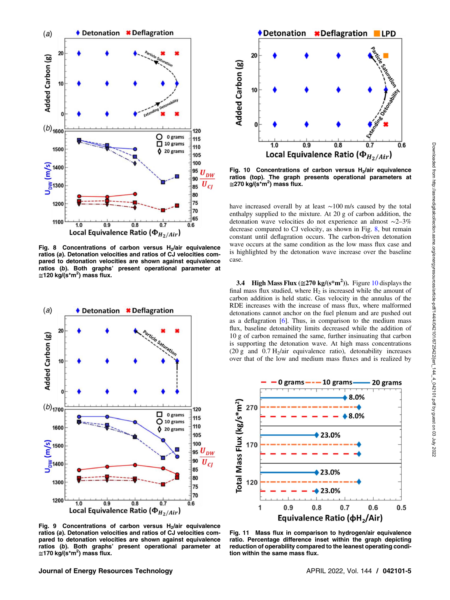<span id="page-4-0"></span>

Fig. 8 Concentrations of carbon versus  $H<sub>2</sub>/air$  equivalence ratios (a). Detonation velocities and ratios of CJ velocities compared to detonation velocities are shown against equivalence ratios (b). Both graphs' present operational parameter at ≅120 kg/(s\*m<sup>2</sup>) mass flux.



Fig. 9 Concentrations of carbon versus  $H_2$ /air equivalence ratios (a). Detonation velocities and ratios of CJ velocities compared to detonation velocities are shown against equivalence ratios (b). Both graphs' present operational parameter at ≅170 kg/(s\*m<sup>2</sup>) mass flux.



Fig. 10 Concentrations of carbon versus  $H<sub>2</sub>/air$  equivalence ratios (top). The graph presents operational parameters at ≅270 kg/(s\*m<sup>2</sup>) mass flux.

have increased overall by at least ∼100 m/s caused by the total enthalpy supplied to the mixture. At 20 g of carbon addition, the detonation wave velocities do not experience an almost ∼2–3% decrease compared to CJ velocity, as shown in Fig. 8, but remain constant until deflagration occurs. The carbon-driven detonation wave occurs at the same condition as the low mass flux case and is highlighted by the detonation wave increase over the baseline case.

3.4 High Mass Flux ( $\approx$ 270 kg/(s\*m<sup>2</sup>)). Figure 10 displays the final mass flux studied, where  $H_2$  is increased while the amount of carbon addition is held static. Gas velocity in the annulus of the RDE increases with the increase of mass flux, where malformed detonations cannot anchor on the fuel plenum and are pushed out as a deflagration [[6](#page-5-0)]. Thus, in comparison to the medium mass flux, baseline detonability limits decreased while the addition of 10 g of carbon remained the same, further insinuating that carbon is supporting the detonation wave. At high mass concentrations (20 g and  $0.7 \text{ H}_2$ /air equivalence ratio), detonability increases over that of the low and medium mass fluxes and is realized by



Fig. 11 Mass flux in comparison to hydrogen/air equivalence ratio. Percentage difference inset within the graph depicting reduction of operability compared to the leanest operating condition within the same mass flux.